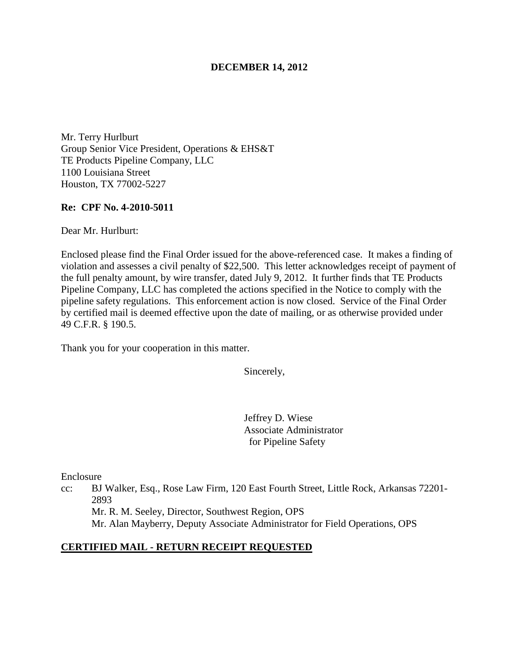#### **DECEMBER 14, 2012**

Mr. Terry Hurlburt Group Senior Vice President, Operations & EHS&T TE Products Pipeline Company, LLC 1100 Louisiana Street Houston, TX 77002-5227

#### **Re: CPF No. 4-2010-5011**

Dear Mr. Hurlburt:

Enclosed please find the Final Order issued for the above-referenced case. It makes a finding of violation and assesses a civil penalty of \$22,500. This letter acknowledges receipt of payment of the full penalty amount, by wire transfer, dated July 9, 2012. It further finds that TE Products Pipeline Company, LLC has completed the actions specified in the Notice to comply with the pipeline safety regulations. This enforcement action is now closed. Service of the Final Order by certified mail is deemed effective upon the date of mailing, or as otherwise provided under 49 C.F.R. § 190.5.

Thank you for your cooperation in this matter.

Sincerely,

Jeffrey D. Wiese Associate Administrator for Pipeline Safety

Enclosure

cc: BJ Walker, Esq., Rose Law Firm, 120 East Fourth Street, Little Rock, Arkansas 72201- 2893

Mr. R. M. Seeley, Director, Southwest Region, OPS Mr. Alan Mayberry, Deputy Associate Administrator for Field Operations, OPS

#### **CERTIFIED MAIL - RETURN RECEIPT REQUESTED**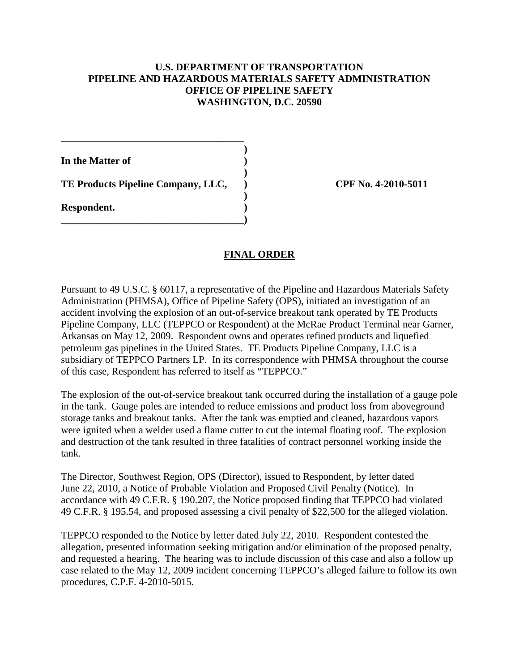## **U.S. DEPARTMENT OF TRANSPORTATION PIPELINE AND HAZARDOUS MATERIALS SAFETY ADMINISTRATION OFFICE OF PIPELINE SAFETY WASHINGTON, D.C. 20590**

**In the Matter of )** 

**TE Products Pipeline Company, LLC, ) CPF No. 4-2010-5011**

**\_\_\_\_\_\_\_\_\_\_\_\_\_\_\_\_\_\_\_\_\_\_\_\_\_\_\_\_\_\_\_\_\_\_\_\_ )** 

 **)** 

 **)** 

**\_\_\_\_\_\_\_\_\_\_\_\_\_\_\_\_\_\_\_\_\_\_\_\_\_\_\_\_\_\_\_\_\_\_\_\_)** 

**Respondent. )** 

# **FINAL ORDER**

Pursuant to 49 U.S.C. § 60117, a representative of the Pipeline and Hazardous Materials Safety Administration (PHMSA), Office of Pipeline Safety (OPS), initiated an investigation of an accident involving the explosion of an out-of-service breakout tank operated by TE Products Pipeline Company, LLC (TEPPCO or Respondent) at the McRae Product Terminal near Garner, Arkansas on May 12, 2009. Respondent owns and operates refined products and liquefied petroleum gas pipelines in the United States. TE Products Pipeline Company, LLC is a subsidiary of TEPPCO Partners LP. In its correspondence with PHMSA throughout the course of this case, Respondent has referred to itself as "TEPPCO."

The explosion of the out-of-service breakout tank occurred during the installation of a gauge pole in the tank. Gauge poles are intended to reduce emissions and product loss from aboveground storage tanks and breakout tanks. After the tank was emptied and cleaned, hazardous vapors were ignited when a welder used a flame cutter to cut the internal floating roof. The explosion and destruction of the tank resulted in three fatalities of contract personnel working inside the tank.

The Director, Southwest Region, OPS (Director), issued to Respondent, by letter dated June 22, 2010, a Notice of Probable Violation and Proposed Civil Penalty (Notice). In accordance with 49 C.F.R. § 190.207, the Notice proposed finding that TEPPCO had violated 49 C.F.R. § 195.54, and proposed assessing a civil penalty of \$22,500 for the alleged violation.

TEPPCO responded to the Notice by letter dated July 22, 2010. Respondent contested the allegation, presented information seeking mitigation and/or elimination of the proposed penalty, and requested a hearing. The hearing was to include discussion of this case and also a follow up case related to the May 12, 2009 incident concerning TEPPCO's alleged failure to follow its own procedures, C.P.F. 4-2010-5015.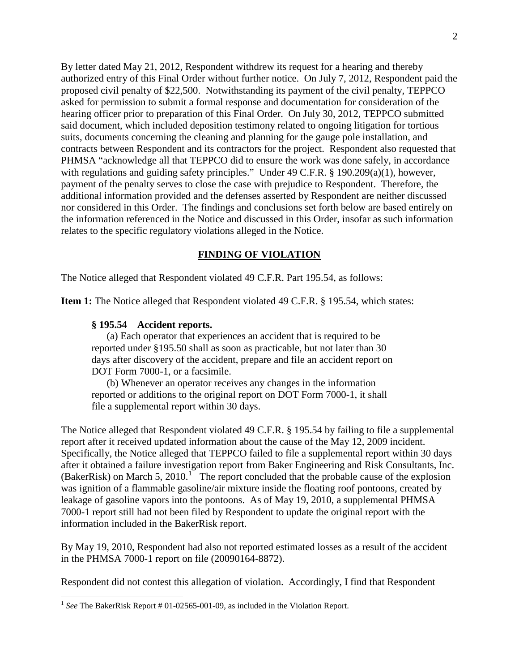By letter dated May 21, 2012, Respondent withdrew its request for a hearing and thereby authorized entry of this Final Order without further notice. On July 7, 2012, Respondent paid the proposed civil penalty of \$22,500. Notwithstanding its payment of the civil penalty, TEPPCO asked for permission to submit a formal response and documentation for consideration of the hearing officer prior to preparation of this Final Order. On July 30, 2012, TEPPCO submitted said document, which included deposition testimony related to ongoing litigation for tortious suits, documents concerning the cleaning and planning for the gauge pole installation, and contracts between Respondent and its contractors for the project. Respondent also requested that PHMSA "acknowledge all that TEPPCO did to ensure the work was done safely, in accordance with regulations and guiding safety principles." Under 49 C.F.R. § 190.209(a)(1), however, payment of the penalty serves to close the case with prejudice to Respondent. Therefore, the additional information provided and the defenses asserted by Respondent are neither discussed nor considered in this Order. The findings and conclusions set forth below are based entirely on the information referenced in the Notice and discussed in this Order, insofar as such information relates to the specific regulatory violations alleged in the Notice.

### **FINDING OF VIOLATION**

The Notice alleged that Respondent violated 49 C.F.R. Part 195.54, as follows:

**Item 1:** The Notice alleged that Respondent violated 49 C.F.R. § 195.54, which states:

#### **§ 195.54 Accident reports.**

 $\overline{a}$ 

(a) Each operator that experiences an accident that is required to be reported under §195.50 shall as soon as practicable, but not later than 30 days after discovery of the accident, prepare and file an accident report on DOT Form 7000-1, or a facsimile.

(b) Whenever an operator receives any changes in the information reported or additions to the original report on DOT Form 7000-1, it shall file a supplemental report within 30 days.

The Notice alleged that Respondent violated 49 C.F.R. § 195.54 by failing to file a supplemental report after it received updated information about the cause of the May 12, 2009 incident. Specifically, the Notice alleged that TEPPCO failed to file a supplemental report within 30 days after it obtained a failure investigation report from Baker Engineering and Risk Consultants, Inc. (BakerRisk) on March 5,  $2010$ <sup>1</sup> The report concluded that the probable cause of the explosion was ignition of a flammable gasoline/air mixture inside the floating roof pontoons, created by leakage of gasoline vapors into the pontoons. As of May 19, 2010, a supplemental PHMSA 7000-1 report still had not been filed by Respondent to update the original report with the information included in the BakerRisk report.

By May 19, 2010, Respondent had also not reported estimated losses as a result of the accident in the PHMSA 7000-1 report on file (20090164-8872).

Respondent did not contest this allegation of violation. Accordingly, I find that Respondent

<sup>&</sup>lt;sup>1</sup> See The BakerRisk Report # 01-02565-001-09, as included in the Violation Report.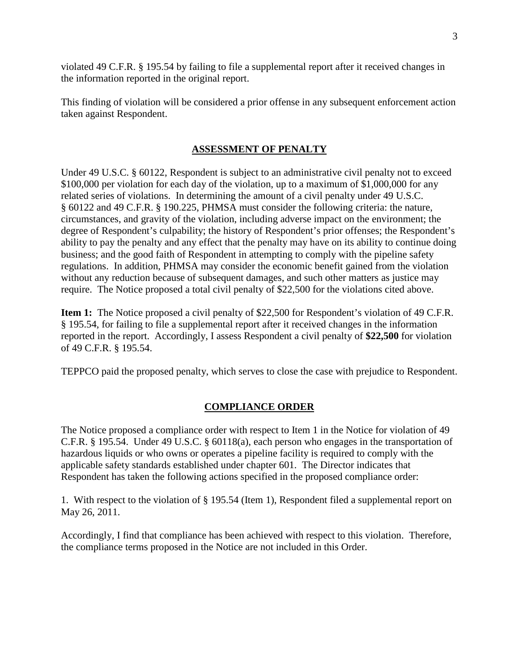violated 49 C.F.R. § 195.54 by failing to file a supplemental report after it received changes in the information reported in the original report.

This finding of violation will be considered a prior offense in any subsequent enforcement action taken against Respondent.

# **ASSESSMENT OF PENALTY**

Under 49 U.S.C. § 60122, Respondent is subject to an administrative civil penalty not to exceed \$100,000 per violation for each day of the violation, up to a maximum of \$1,000,000 for any related series of violations. In determining the amount of a civil penalty under 49 U.S.C. § 60122 and 49 C.F.R. § 190.225, PHMSA must consider the following criteria: the nature, circumstances, and gravity of the violation, including adverse impact on the environment; the degree of Respondent's culpability; the history of Respondent's prior offenses; the Respondent's ability to pay the penalty and any effect that the penalty may have on its ability to continue doing business; and the good faith of Respondent in attempting to comply with the pipeline safety regulations. In addition, PHMSA may consider the economic benefit gained from the violation without any reduction because of subsequent damages, and such other matters as justice may require. The Notice proposed a total civil penalty of \$22,500 for the violations cited above.

**Item 1:** The Notice proposed a civil penalty of \$22,500 for Respondent's violation of 49 C.F.R. § 195.54, for failing to file a supplemental report after it received changes in the information reported in the report. Accordingly, I assess Respondent a civil penalty of **\$22,500** for violation of 49 C.F.R. § 195.54.

TEPPCO paid the proposed penalty, which serves to close the case with prejudice to Respondent.

# **COMPLIANCE ORDER**

The Notice proposed a compliance order with respect to Item 1 in the Notice for violation of 49 C.F.R. § 195.54. Under 49 U.S.C. § 60118(a), each person who engages in the transportation of hazardous liquids or who owns or operates a pipeline facility is required to comply with the applicable safety standards established under chapter 601. The Director indicates that Respondent has taken the following actions specified in the proposed compliance order:

1. With respect to the violation of § 195.54 (Item 1), Respondent filed a supplemental report on May 26, 2011.

Accordingly, I find that compliance has been achieved with respect to this violation. Therefore, the compliance terms proposed in the Notice are not included in this Order.